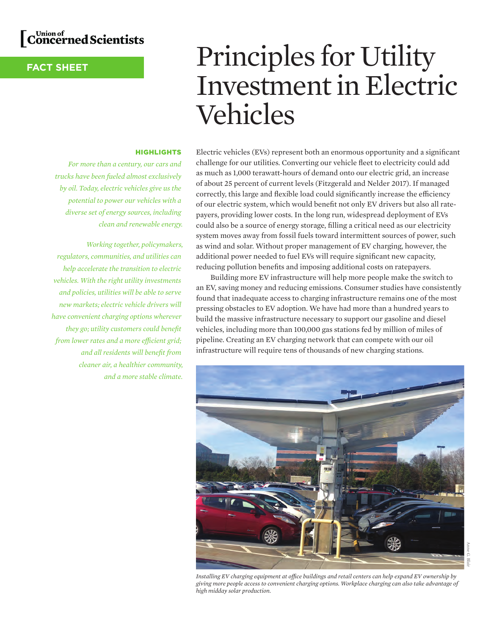

# **FACT SHEET**

# Principles for Utility Investment in Electric Vehicles

## **HIGHLIGHTS**

*For more than a century, our cars and trucks have been fueled almost exclusively by oil. Today, electric vehicles give us the potential to power our vehicles with a diverse set of energy sources, including clean and renewable energy.* 

*Working together, policymakers, regulators, communities, and utilities can help accelerate the transition to electric vehicles. With the right utility investments and policies, utilities will be able to serve new markets; electric vehicle drivers will have convenient charging options wherever they go; utility customers could benefit from lower rates and a more efficient grid; and all residents will benefit from cleaner air, a healthier community, and a more stable climate.*  Electric vehicles (EVs) represent both an enormous opportunity and a significant challenge for our utilities. Converting our vehicle fleet to electricity could add as much as 1,000 terawatt-hours of demand onto our electric grid, an increase of about 25 percent of current levels (Fitzgerald and Nelder 2017). If managed correctly, this large and flexible load could significantly increase the efficiency of our electric system, which would benefit not only EV drivers but also all ratepayers, providing lower costs. In the long run, widespread deployment of EVs could also be a source of energy storage, filling a critical need as our electricity system moves away from fossil fuels toward intermittent sources of power, such as wind and solar. Without proper management of EV charging, however, the additional power needed to fuel EVs will require significant new capacity, reducing pollution benefits and imposing additional costs on ratepayers.

Building more EV infrastructure will help more people make the switch to an EV, saving money and reducing emissions. Consumer studies have consistently found that inadequate access to charging infrastructure remains one of the most pressing obstacles to EV adoption. We have had more than a hundred years to build the massive infrastructure necessary to support our gasoline and diesel vehicles, including more than 100,000 gas stations fed by million of miles of pipeline. Creating an EV charging network that can compete with our oil infrastructure will require tens of thousands of new charging stations.



*Installing EV charging equipment at office buildings and retail centers can help expand EV ownership by giving more people access to convenient charging options. Workplace charging can also take advantage of high midday solar production.*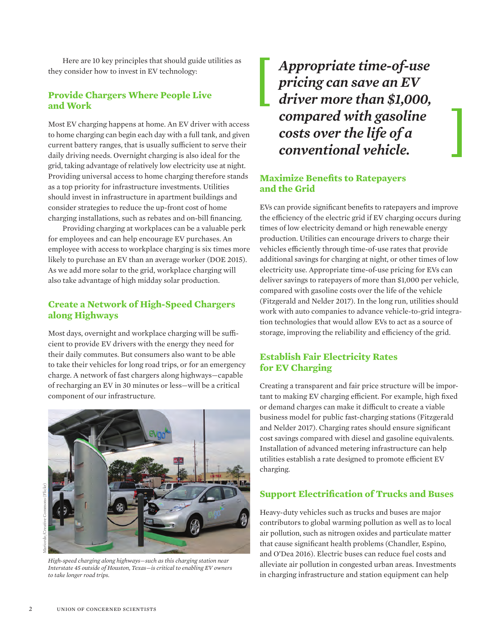Here are 10 key principles that should guide utilities as they consider how to invest in EV technology:

# **Provide Chargers Where People Live and Work**

Most EV charging happens at home. An EV driver with access to home charging can begin each day with a full tank, and given current battery ranges, that is usually sufficient to serve their daily driving needs. Overnight charging is also ideal for the grid, taking advantage of relatively low electricity use at night. Providing universal access to home charging therefore stands as a top priority for infrastructure investments. Utilities should invest in infrastructure in apartment buildings and consider strategies to reduce the up-front cost of home charging installations, such as rebates and on-bill financing.

Providing charging at workplaces can be a valuable perk for employees and can help encourage EV purchases. An employee with access to workplace charging is six times more likely to purchase an EV than an average worker (DOE 2015). As we add more solar to the grid, workplace charging will also take advantage of high midday solar production.

## **Create a Network of High-Speed Chargers along Highways**

Most days, overnight and workplace charging will be sufficient to provide EV drivers with the energy they need for their daily commutes. But consumers also want to be able to take their vehicles for long road trips, or for an emergency charge. A network of fast chargers along highways—capable of recharging an EV in 30 minutes or less—will be a critical component of our infrastructure.



*High-speed charging along highways—such as this charging station near Interstate 45 outside of Houston, Texas—is critical to enabling EV owners to take longer road trips.*

*Appropriate time-of-use pricing can save an EV driver more than \$1,000, compared with gasoline costs over the life of a conventional vehicle.*

# **Maximize Benefits to Ratepayers and the Grid**

EVs can provide significant benefits to ratepayers and improve the efficiency of the electric grid if EV charging occurs during times of low electricity demand or high renewable energy production. Utilities can encourage drivers to charge their vehicles efficiently through time-of-use rates that provide additional savings for charging at night, or other times of low electricity use. Appropriate time-of-use pricing for EVs can deliver savings to ratepayers of more than \$1,000 per vehicle, compared with gasoline costs over the life of the vehicle (Fitzgerald and Nelder 2017). In the long run, utilities should work with auto companies to advance vehicle-to-grid integration technologies that would allow EVs to act as a source of storage, improving the reliability and efficiency of the grid.

# **Establish Fair Electricity Rates for EV Charging**

Creating a transparent and fair price structure will be important to making EV charging efficient. For example, high fixed or demand charges can make it difficult to create a viable business model for public fast-charging stations (Fitzgerald and Nelder 2017). Charging rates should ensure significant cost savings compared with diesel and gasoline equivalents. Installation of advanced metering infrastructure can help utilities establish a rate designed to promote efficient EV charging.

# **Support Electrification of Trucks and Buses**

Heavy-duty vehicles such as trucks and buses are major contributors to global warming pollution as well as to local air pollution, such as nitrogen oxides and particulate matter that cause significant health problems (Chandler, Espino, and O'Dea 2016). Electric buses can reduce fuel costs and alleviate air pollution in congested urban areas. Investments in charging infrastructure and station equipment can help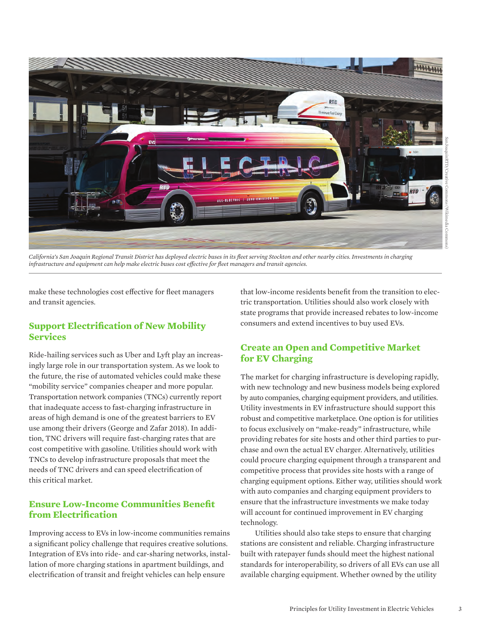

*California's San Joaquin Regional Transit District has deployed electric buses in its fleet serving Stockton and other nearby cities. Investments in charging infrastructure and equipment can help make electric buses cost effective for fleet managers and transit agencies.*

make these technologies cost effective for fleet managers and transit agencies.

## **Support Electrification of New Mobility Services**

Ride-hailing services such as Uber and Lyft play an increasingly large role in our transportation system. As we look to the future, the rise of automated vehicles could make these "mobility service" companies cheaper and more popular. Transportation network companies (TNCs) currently report that inadequate access to fast-charging infrastructure in areas of high demand is one of the greatest barriers to EV use among their drivers (George and Zafar 2018). In addition, TNC drivers will require fast-charging rates that are cost competitive with gasoline. Utilities should work with TNCs to develop infrastructure proposals that meet the needs of TNC drivers and can speed electrification of this critical market.

# **Ensure Low-Income Communities Benefit from Electrification**

Improving access to EVs in low-income communities remains a significant policy challenge that requires creative solutions. Integration of EVs into ride- and car-sharing networks, installation of more charging stations in apartment buildings, and electrification of transit and freight vehicles can help ensure

that low-income residents benefit from the transition to electric transportation. Utilities should also work closely with state programs that provide increased rebates to low-income consumers and extend incentives to buy used EVs.

# **Create an Open and Competitive Market for EV Charging**

The market for charging infrastructure is developing rapidly, with new technology and new business models being explored by auto companies, charging equipment providers, and utilities. Utility investments in EV infrastructure should support this robust and competitive marketplace. One option is for utilities to focus exclusively on "make-ready" infrastructure, while providing rebates for site hosts and other third parties to purchase and own the actual EV charger. Alternatively, utilities could procure charging equipment through a transparent and competitive process that provides site hosts with a range of charging equipment options. Either way, utilities should work with auto companies and charging equipment providers to ensure that the infrastructure investments we make today will account for continued improvement in EV charging technology.

Utilities should also take steps to ensure that charging stations are consistent and reliable. Charging infrastructure built with ratepayer funds should meet the highest national standards for interoperability, so drivers of all EVs can use all available charging equipment. Whether owned by the utility